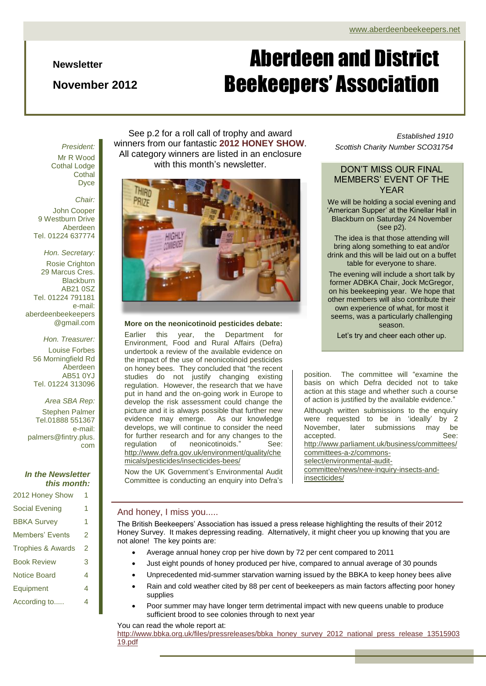#### **Newsletter**

### **November 2012**

# Aberdeen and District Beekeepers' Association

Mr R Wood Cothal Lodge **Cothal** Dyce

#### *Chair:*

John Cooper 9 Westburn Drive Aberdeen Tel. 01224 637774

*Hon. Secretary:* Rosie Crighton 29 Marcus Cres. **Blackburn** AB21 0SZ Tel. 01224 791181 e-mail: aberdeenbeekeepers @gmail.com

*Hon. Treasurer:* Louise Forbes 56 Morningfield Rd Aberdeen AB51 0YJ Tel. 01224 313096

*Area SBA Rep:* Stephen Palmer Tel.01888 551367 e-mail: palmers@fintry.plus. com

#### *In the Newsletter this month:*

2012 Honey Show 1 Social Evening 1 BBKA Survey 1 Members' Events 2 Trophies & Awards 2 Book Review 3 Notice Board 4 Equipment 4

According to..... 4

See p.2 for a roll call of trophy and award winners from our fantastic **2012 HONEY SHOW**. All category winners are listed in an enclosure with this month's newsletter.



#### **More on the neonicotinoid pesticides debate:**

Earlier this year, the Department for Environment, Food and Rural Affairs (Defra) undertook a review of the available evidence on the impact of the use of neonicotinoid pesticides on honey bees. They concluded that "the recent studies do not justify changing existing regulation. However, the research that we have put in hand and the on-going work in Europe to develop the risk assessment could change the picture and it is always possible that further new evidence may emerge. As our knowledge develops, we will continue to consider the need for further research and for any changes to the regulation of neonicotinoids." See: [http://www.defra.gov.uk/environment/quality/che](http://www.defra.gov.uk/environment/quality/chemicals/pesticides/insecticides-bees/) [micals/pesticides/insecticides-bees/](http://www.defra.gov.uk/environment/quality/chemicals/pesticides/insecticides-bees/)

Now the UK Government's Environmental Audit Committee is conducting an enquiry into Defra's

#### *Established 1910 Scottish Charity Number SCO31754*

#### DON'T MISS OUR FINAL MEMBERS' EVENT OF THE YEAR

We will be holding a social evening and 'American Supper' at the Kinellar Hall in Blackburn on Saturday 24 November (see p2).

The idea is that those attending will bring along something to eat and/or drink and this will be laid out on a buffet table for everyone to share.

The evening will include a short talk by former ADBKA Chair, Jock McGregor, on his beekeeping year. We hope that other members will also contribute their own experience of what, for most it seems, was a particularly challenging season.

Let's try and cheer each other up.

position. The committee will "examine the basis on which Defra decided not to take action at this stage and whether such a course of action is justified by the available evidence."

Although written submissions to the enquiry were requested to be in 'ideally' by 2 November, later submissions may be accepted. See: [http://www.parliament.uk/business/committees/](http://www.parliament.uk/business/committees/committees-a-z/commons-select/environmental-audit-committee/news/new-inquiry-insects-and-insecticides/) [committees-a-z/commons](http://www.parliament.uk/business/committees/committees-a-z/commons-select/environmental-audit-committee/news/new-inquiry-insects-and-insecticides/)[select/environmental-audit-](http://www.parliament.uk/business/committees/committees-a-z/commons-select/environmental-audit-committee/news/new-inquiry-insects-and-insecticides/)

[committee/news/new-inquiry-insects-and](http://www.parliament.uk/business/committees/committees-a-z/commons-select/environmental-audit-committee/news/new-inquiry-insects-and-insecticides/)[insecticides/](http://www.parliament.uk/business/committees/committees-a-z/commons-select/environmental-audit-committee/news/new-inquiry-insects-and-insecticides/)

#### And honey, I miss you.....

The British Beekeepers' Association has issued a press release highlighting the results of their 2012 Honey Survey. It makes depressing reading. Alternatively, it might cheer you up knowing that you are not alone! The key points are:

- Average annual honey crop per hive down by 72 per cent compared to 2011
- Just eight pounds of honey produced per hive, compared to annual average of 30 pounds
- Unprecedented mid-summer starvation warning issued by the BBKA to keep honey bees alive
- Rain and cold weather cited by 88 per cent of beekeepers as main factors affecting poor honey supplies
- Poor summer may have longer term detrimental impact with new queens unable to produce sufficient brood to see colonies through to next year

You can read the whole report at:

[http://www.bbka.org.uk/files/pressreleases/bbka\\_honey\\_survey\\_2012\\_national\\_press\\_release\\_13515903](http://www.bbka.org.uk/files/pressreleases/bbka_honey_survey_2012_national_press_release_1351590319.pdf) [19.pdf](http://www.bbka.org.uk/files/pressreleases/bbka_honey_survey_2012_national_press_release_1351590319.pdf)

### *President:*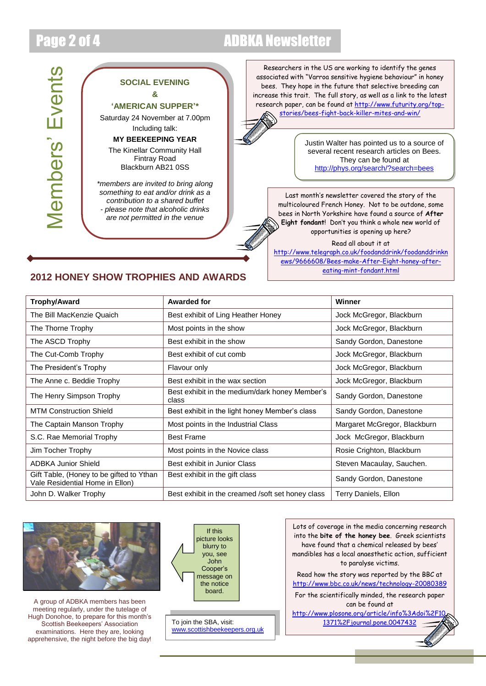## Page 2 of 4 ADBKA Newsletter

**Members' Events** Members' Events

#### **SOCIAL EVENING &**

**'AMERICAN SUPPER'\***

Saturday 24 November at 7.00pm Including talk:

#### **MY BEEKEEPING YEAR**

The Kinellar Community Hall Fintray Road Blackburn AB21 0SS

*\*members are invited to bring along something to eat and/or drink as a contribution to a shared buffet - please note that alcoholic drinks are not permitted in the venue*

Researchers in the US are working to identify the genes associated with "Varroa sensitive hygiene behaviour" in honey bees. They hope in the future that selective breeding can increase this trait. The full story, as well as a link to the latest research paper, can be found a[t http://www.futurity.org/top](http://www.futurity.org/top-stories/bees-fight-back-killer-mites-and-win/)[stories/bees-fight-back-killer-mites-and-win/](http://www.futurity.org/top-stories/bees-fight-back-killer-mites-and-win/)

> Justin Walter has pointed us to a source of several recent research articles on Bees. They can be found at <http://phys.org/search/?search=bees>

Last month's newsletter covered the story of the multicoloured French Honey. Not to be outdone, some bees in North Yorkshire have found a source of **After Eight fondant**! Don't you think a whole new world of opportunities is opening up here?

Read all about it at

[http://www.telegraph.co.uk/foodanddrink/foodanddrinkn](http://www.telegraph.co.uk/foodanddrink/foodanddrinknews/9666608/Bees-make-After-Eight-honey-after-eating-mint-fondant.html) [ews/9666608/Bees-make-After-Eight-honey-after](http://www.telegraph.co.uk/foodanddrink/foodanddrinknews/9666608/Bees-make-After-Eight-honey-after-eating-mint-fondant.html)[eating-mint-fondant.html](http://www.telegraph.co.uk/foodanddrink/foodanddrinknews/9666608/Bees-make-After-Eight-honey-after-eating-mint-fondant.html)

### **2012 HONEY SHOW TROPHIES AND AWARDS**

| Trophy/Award                                                                | <b>Awarded for</b>                                      | Winner                       |
|-----------------------------------------------------------------------------|---------------------------------------------------------|------------------------------|
| The Bill MacKenzie Quaich                                                   | Best exhibit of Ling Heather Honey                      | Jock McGregor, Blackburn     |
| The Thorne Trophy                                                           | Most points in the show                                 | Jock McGregor, Blackburn     |
| The ASCD Trophy                                                             | Best exhibit in the show                                | Sandy Gordon, Danestone      |
| The Cut-Comb Trophy                                                         | Best exhibit of cut comb                                | Jock McGregor, Blackburn     |
| The President's Trophy                                                      | Flavour only                                            | Jock McGregor, Blackburn     |
| The Anne c. Beddie Trophy                                                   | Best exhibit in the wax section                         | Jock McGregor, Blackburn     |
| The Henry Simpson Trophy                                                    | Best exhibit in the medium/dark honey Member's<br>class | Sandy Gordon, Danestone      |
| <b>MTM Construction Shield</b>                                              | Best exhibit in the light honey Member's class          | Sandy Gordon, Danestone      |
| The Captain Manson Trophy                                                   | Most points in the Industrial Class                     | Margaret McGregor, Blackburn |
| S.C. Rae Memorial Trophy                                                    | <b>Best Frame</b>                                       | Jock McGregor, Blackburn     |
| Jim Tocher Trophy                                                           | Most points in the Novice class                         | Rosie Crighton, Blackburn    |
| <b>ADBKA Junior Shield</b>                                                  | Best exhibit in Junior Class                            | Steven Macaulay, Sauchen.    |
| Gift Table, (Honey to be gifted to Ythan<br>Vale Residential Home in Ellon) | Best exhibit in the gift class                          | Sandy Gordon, Danestone      |
| John D. Walker Trophy                                                       | Best exhibit in the creamed /soft set honey class       | Terry Daniels, Ellon         |



A group of ADBKA members has been meeting regularly, under the tutelage of Hugh Donohoe, to prepare for this month's Scottish Beekeepers' Association examinations. Here they are, looking apprehensive, the night before the big day!



To join the SBA, visit: [www.scottishbeekeepers.org.uk](http://www.scottishbeekeepers.org.uk/)

Lots of coverage in the media concerning research into the **bite of the honey bee**. Greek scientists have found that a chemical released by bees' mandibles has a local anaesthetic action, sufficient to paralyse victims. Read how the story was reported by the BBC at <http://www.bbc.co.uk/news/technology-20080389> For the scientifically minded, the research paper can be found at

[http://www.plosone.org/article/info%3Adoi%2F10.](http://www.plosone.org/article/info%3Adoi%2F10.1371%2Fjournal.pone.0047432) [1371%2Fjournal.pone.0047432](http://www.plosone.org/article/info%3Adoi%2F10.1371%2Fjournal.pone.0047432)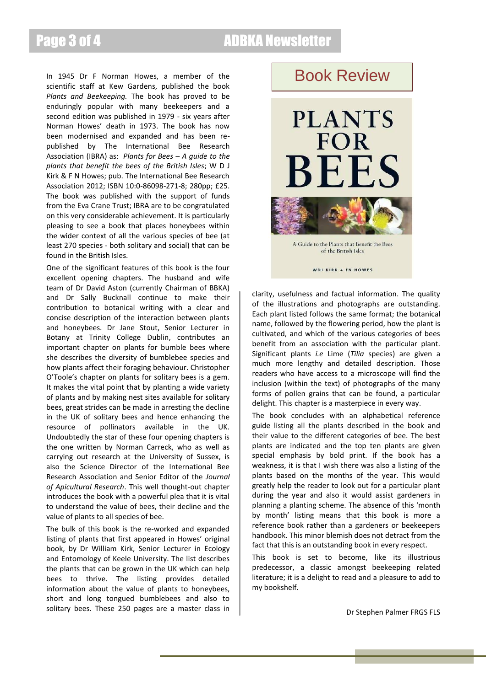## Page 3 of 4 ADBKA Newsletter

In 1945 Dr F Norman Howes, a member of the scientific staff at Kew Gardens, published the book *Plants and Beekeeping.* The book has proved to be enduringly popular with many beekeepers and a second edition was published in 1979 - six years after Norman Howes' death in 1973. The book has now been modernised and expanded and has been republished by The International Bee Research Association (IBRA) as: *Plants for Bees – A guide to the plants that benefit the bees of the British Isles*; W D J Kirk & F N Howes; pub. The International Bee Research Association 2012; ISBN 10:0-86098-271-8; 280pp; £25. The book was published with the support of funds from the Eva Crane Trust; IBRA are to be congratulated on this very considerable achievement. It is particularly pleasing to see a book that places honeybees within the wider context of all the various species of bee (at least 270 species - both solitary and social) that can be found in the British Isles.

One of the significant features of this book is the four excellent opening chapters. The husband and wife team of Dr David Aston (currently Chairman of BBKA) and Dr Sally Bucknall continue to make their contribution to botanical writing with a clear and concise description of the interaction between plants and honeybees. Dr Jane Stout, Senior Lecturer in Botany at Trinity College Dublin, contributes an important chapter on plants for bumble bees where she describes the diversity of bumblebee species and how plants affect their foraging behaviour. Christopher O'Toole's chapter on plants for solitary bees is a gem. It makes the vital point that by planting a wide variety of plants and by making nest sites available for solitary bees, great strides can be made in arresting the decline in the UK of solitary bees and hence enhancing the resource of pollinators available in the UK. Undoubtedly the star of these four opening chapters is the one written by Norman Carreck, who as well as carrying out research at the University of Sussex, is also the Science Director of the International Bee Research Association and Senior Editor of the *Journal of Apicultural Research*. This well thought-out chapter introduces the book with a powerful plea that it is vital to understand the value of bees, their decline and the value of plants to all species of bee.

The bulk of this book is the re-worked and expanded listing of plants that first appeared in Howes' original book, by Dr William Kirk, Senior Lecturer in Ecology and Entomology of Keele University. The list describes the plants that can be grown in the UK which can help bees to thrive. The listing provides detailed information about the value of plants to honeybees, short and long tongued bumblebees and also to solitary bees. These 250 pages are a master class in

### Book Review



A Guide to the Plants that Benefit the Bees of the British Isles

WDJ KIRK + FN HOWES

clarity, usefulness and factual information. The quality of the illustrations and photographs are outstanding. Each plant listed follows the same format; the botanical name, followed by the flowering period, how the plant is cultivated, and which of the various categories of bees benefit from an association with the particular plant. Significant plants *i.e* Lime (*Tilia* species) are given a much more lengthy and detailed description. Those readers who have access to a microscope will find the inclusion (within the text) of photographs of the many forms of pollen grains that can be found, a particular delight. This chapter is a masterpiece in every way.

The book concludes with an alphabetical reference guide listing all the plants described in the book and their value to the different categories of bee. The best plants are indicated and the top ten plants are given special emphasis by bold print. If the book has a weakness, it is that I wish there was also a listing of the plants based on the months of the year. This would greatly help the reader to look out for a particular plant during the year and also it would assist gardeners in planning a planting scheme. The absence of this 'month by month' listing means that this book is more a reference book rather than a gardeners or beekeepers handbook. This minor blemish does not detract from the fact that this is an outstanding book in every respect.

This book is set to become, like its illustrious predecessor, a classic amongst beekeeping related literature; it is a delight to read and a pleasure to add to my bookshelf.

Dr Stephen Palmer FRGS FLS